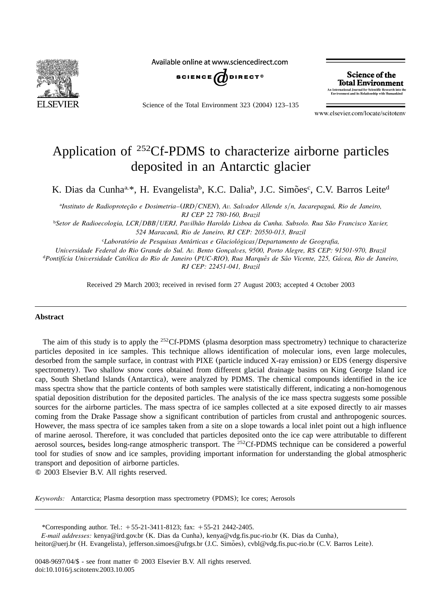

Available online at www.sciencedirect.com



Science of the Total Environment 323 (2004) 123–135

Science of the **Total Environment** An International Journal for Scientific Research into the<br>Environment and its Relationship with Humankind

www.elsevier.com/locate/scitotenv

# Application of  $^{252}$ Cf-PDMS to characterize airborne particles deposited in an Antarctic glacier

K. Dias da Cunha<sup>a,\*</sup>, H. Evangelista<sup>b</sup>, K.C. Dalia<sup>b</sup>, J.C. Simões<sup>c</sup>, C.V. Barros Leite<sup>d</sup>

<sup>a</sup>Instituto de Radioprotecão e Dosimetria–(*IRD*/*CNEN*), Av. Salvador Allende s/n, Jacarepaguá, Rio de Janeiro, *RJ CEP 22 780-160, Brazil*

*Setor de Radioecologia, LCR*y*DBB*y*UERJ, Pavilhao Haroldo Lisboa da Cunha. Subsolo. Rua Sao Francisco Xavier,* <sup>b</sup> *˜ ˜ 524 Maracana, Rio de Janeiro, RJ CEP: 20550-013, Brazil ˜*

*<sup>c</sup>Laboratório de Pesquisas Antárticas e Glaciológicas/Departamento de Geografia,* 

*Universidade Federal do Rio Grande do Sul. Av. Bento Goncalves, 9500, Porto Alegre, RS CEP: 91501-970, Brazil ¸*

<sup>d</sup> Pontifícia Universidade Católica do Rio de Janeiro (PUC-RIO), Rua Marquês de São Vicente, 225, Gávea, Rio de Janeiro, *RJ CEP: 22451-041, Brazil*

Received 29 March 2003; received in revised form 27 August 2003; accepted 4 October 2003

#### **Abstract**

The aim of this study is to apply the <sup>252</sup>Cf-PDMS (plasma desorption mass spectrometry) technique to characterize particles deposited in ice samples. This technique allows identification of molecular ions, even large molecules, desorbed from the sample surface, in contrast with PIXE (particle induced X-ray emission) or EDS (energy dispersive spectrometry). Two shallow snow cores obtained from different glacial drainage basins on King George Island ice cap, South Shetland Islands (Antarctica), were analyzed by PDMS. The chemical compounds identified in the ice mass spectra show that the particle contents of both samples were statistically different, indicating a non-homogenous spatial deposition distribution for the deposited particles. The analysis of the ice mass spectra suggests some possible sources for the airborne particles. The mass spectra of ice samples collected at a site exposed directly to air masses coming from the Drake Passage show a significant contribution of particles from crustal and anthropogenic sources. However, the mass spectra of ice samples taken from a site on a slope towards a local inlet point out a high influence of marine aerosol. Therefore, it was concluded that particles deposited onto the ice cap were attributable to different aerosol sources, besides long-range atmospheric transport. The <sup>252</sup>Cf-PDMS technique can be considered a powerful tool for studies of snow and ice samples, providing important information for understanding the global atmospheric transport and deposition of airborne particles.

2003 Elsevier B.V. All rights reserved.

*Keywords:* Antarctica; Plasma desorption mass spectrometry (PDMS); Ice cores; Aerosols

\*Corresponding author. Tel.: +55-21-3411-8123; fax: +55-21 2442-2405.

*E-mail addresses:* kenya@ird.gov.br (K. Dias da Cunha), kenya@vdg.fis.puc-rio.br (K. Dias da Cunha),

heitor@uerj.br (H. Evangelista), jefferson.simoes@ufrgs.br (J.C. Simoes), cvbl@vdg.fis.puc-rio.br (C.V. Barros Leite).

0048-9697/04/\$ - see front matter © 2003 Elsevier B.V. All rights reserved. doi:10.1016/j.scitotenv.2003.10.005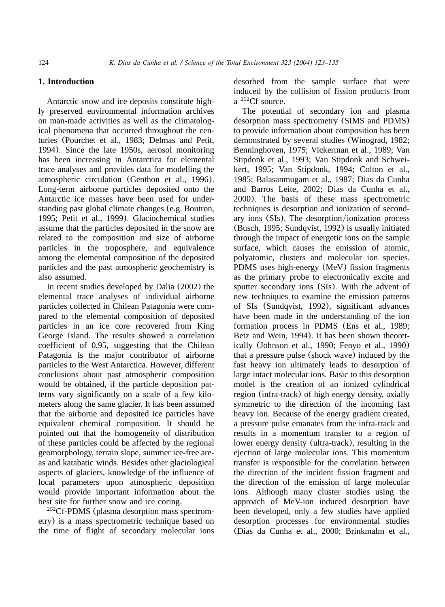# **1. Introduction**

Antarctic snow and ice deposits constitute highly preserved environmental information archives on man**-**made activities as well as the climatological phenomena that occurred throughout the centuries ([Pourchet et al., 1983; Delmas and Petit,](#page-11-0) [1994](#page-11-0)). Since the late 1950s, aerosol monitoring has been increasing in Antarctica for elemental trace analyses and provides data for modelling the atmospheric circulation ([Genthon et al., 1996](#page-11-0)). Long-term airborne particles deposited onto the Antarctic ice masses have been used for understanding past global climate changes (e.g. [Boutron,](#page-11-0) [1995; Petit et al., 1999](#page-11-0)). Glaciochemical studies assume that the particles deposited in the snow are related to the composition and size of airborne particles in the troposphere, and equivalence among the elemental composition of the deposited particles and the past atmospheric geochemistry is also assumed.

In recent studies developed by [Dalia](#page-11-0) (2002) the elemental trace analyses of individual airborne particles collected in Chilean Patagonia were compared to the elemental composition of deposited particles in an ice core recovered from King George Island. The results showed a correlation coefficient of 0.95, suggesting that the Chilean Patagonia is the major contributor of airborne particles to the West Antarctica. However, different conclusions about past atmospheric composition would be obtained, if the particle deposition patterns vary significantly on a scale of a few kilometers along the same glacier. It has been assumed that the airborne and deposited ice particles have equivalent chemical composition. It should be pointed out that the homogeneity of distribution of these particles could be affected by the regional geomorphology, terrain slope, summer ice-free areas and katabatic winds. Besides other glaciological aspects of glaciers, knowledge of the influence of local parameters upon atmospheric deposition would provide important information about the best site for further snow and ice coring.

 $252Cf-PDMS$  (plasma desorption mass spectrometry) is a mass spectrometric technique based on the time of flight of secondary molecular ions desorbed from the sample surface that were induced by the collision of fission products from  $a^{252}$ Cf source.

The potential of secondary ion and plasma desorption mass spectrometry (SIMS and PDMS) to provide information about composition has been demonstrated by several studies ([Winograd, 1982;](#page-12-0) [Benninghoven, 1975; Vickerman et al., 1989; Van](#page-12-0) [Stipdonk et al., 1993; Van Stipdonk and Schwei](#page-12-0)[kert, 1995; Van Stipdonk, 1994; Colton et al.,](#page-12-0) [1985; Balasanmugam et al., 1987; Dias da Cunha](#page-12-0) [and Barros Leite, 2002; Dias da Cunha et al.,](#page-12-0) [2000](#page-12-0)). The basis of these mass spectrometric techniques is desorption and ionization of secondary ions  $(SIs)$ . The desorption/ionization process ([Busch, 1995; Sundqvist, 1992](#page-11-0)) is usually initiated through the impact of energetic ions on the sample surface, which causes the emission of atomic, polyatomic, clusters and molecular ion species. PDMS uses high-energy (MeV) fission fragments as the primary probe to electronically excite and sputter secondary ions (SIs). With the advent of new techniques to examine the emission patterns of SIs ([Sundqvist, 1992](#page-12-0)), significant advances have been made in the understanding of the ion formation process in PDMS ([Ens et al., 1989;](#page-11-0) [Betz and Wein, 1994](#page-11-0)). It has been shown theoretically ([Johnson et al., 1990; Fenyo et al., 1990](#page-11-0)) that a pressure pulse (shock wave) induced by the fast heavy ion ultimately leads to desorption of large intact molecular ions. Basic to this desorption model is the creation of an ionized cylindrical region (infra-track) of high energy density, axially symmetric to the direction of the incoming fast heavy ion. Because of the energy gradient created, a pressure pulse emanates from the infra-track and results in a momentum transfer to a region of lower energy density (ultra-track), resulting in the ejection of large molecular ions. This momentum transfer is responsible for the correlation between the direction of the incident fission fragment and the direction of the emission of large molecular ions. Although many cluster studies using the approach of MeV-ion induced desorption have been developed, only a few studies have applied desorption processes for environmental studies ([Dias da Cunha et al., 2000; Brinkmalm et al.,](#page-11-0)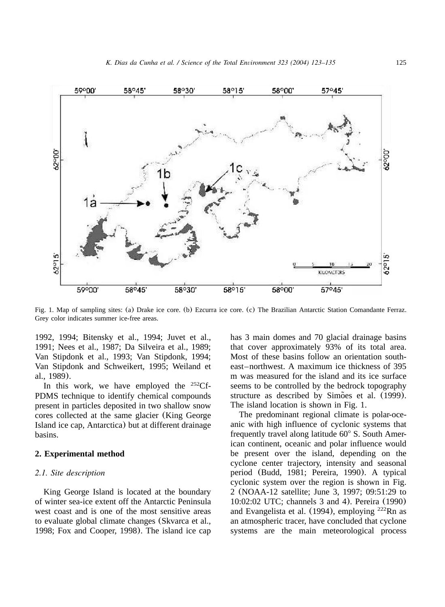<span id="page-2-0"></span>

Fig. 1. Map of sampling sites: (a) Drake ice core. (b) Ezcurra ice core. (c) [The Brazilian Antarctic Station Comandante Ferraz.](#page-11-0) [Grey color indicates summer ice-free areas.](#page-11-0)

[1992, 1994; Bitensky et al., 1994; Juvet et al.,](#page-11-0) [1991; Nees et al., 1987; Da Silveira et al., 1989;](#page-11-0) [Van Stipdonk et al., 1993; Van Stipdonk, 1994;](#page-11-0) [Van Stipdonk and Schweikert, 1995; Weiland et](#page-11-0) [al., 1989](#page-11-0)).

In this work, we have employed the  $^{252}$ Cf-PDMS technique to identify chemical compounds present in particles deposited in two shallow snow cores collected at the same glacier (King George Island ice cap, Antarctica) but at different drainage basins.

# **2. Experimental method**

## *2.1. Site description*

King George Island is located at the boundary of winter sea-ice extent off the Antarctic Peninsula west coast and is one of the most sensitive areas to evaluate global climate changes ([Skvarca et al.,](#page-11-0) [1998; Fox and Cooper, 1998](#page-11-0)). The island ice cap has 3 main domes and 70 glacial drainage basins that cover approximately 93% of its total area. Most of these basins follow an orientation southeast–northwest. A maximum ice thickness of 395 m was measured for the island and its ice surface seems to be controlled by the bedrock topography structure as described by [Simoes et al.](#page-11-0) (1999). The island location is shown in Fig. 1.

The predominant regional climate is polar-oceanic with high influence of cyclonic systems that frequently travel along latitude  $60^{\circ}$  S. South American continent, oceanic and polar influence would be present over the island, depending on the cyclone center trajectory, intensity and seasonal period ([Budd, 1981; Pereira, 1990](#page-11-0)). A typical cyclonic system over the region is shown in [Fig.](#page-3-0) [2](#page-3-0) (NOAA-12 satellite; June 3, 1997; 09:51:29 to 10:02:02 UTC; channels 3 and 4). [Pereira](#page-11-0) (1990) [and Evangelista et al.](#page-11-0) (1994), employing  $222$ Rn as an atmospheric tracer, have concluded that cyclone systems are the main meteorological process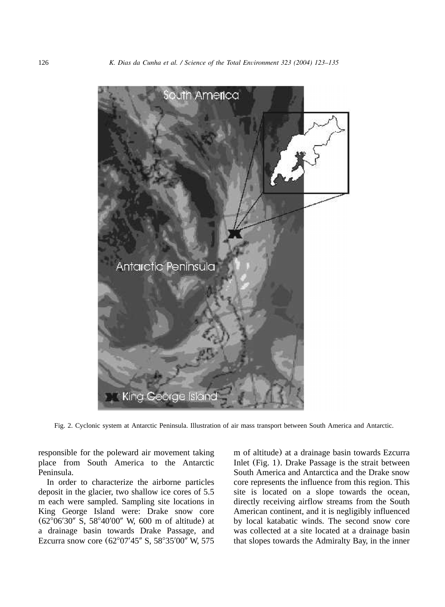<span id="page-3-0"></span>

Fig. 2. Cyclonic system at Antarctic Peninsula. Illustration of air mass transport between South America and Antarctic.

responsible for the poleward air movement taking place from South America to the Antarctic Peninsula.

In order to characterize the airborne particles deposit in the glacier, two shallow ice cores of 5.5 m each were sampled. Sampling site locations in King George Island were: Drake snow core  $(62^{\circ}06'30''$  S,  $58^{\circ}40'00''$  W, 600 m of altitude) at a drainage basin towards Drake Passage, and Ezcurra snow core  $(62^{\circ}07'45''$  S,  $58^{\circ}35'00''$  W,  $575$  m of altitude) at a drainage basin towards Ezcurra Inlet ([Fig. 1](#page-2-0)). Drake Passage is the strait between South America and Antarctica and the Drake snow core represents the influence from this region. This site is located on a slope towards the ocean, directly receiving airflow streams from the South American continent, and it is negligibly influenced by local katabatic winds. The second snow core was collected at a site located at a drainage basin that slopes towards the Admiralty Bay, in the inner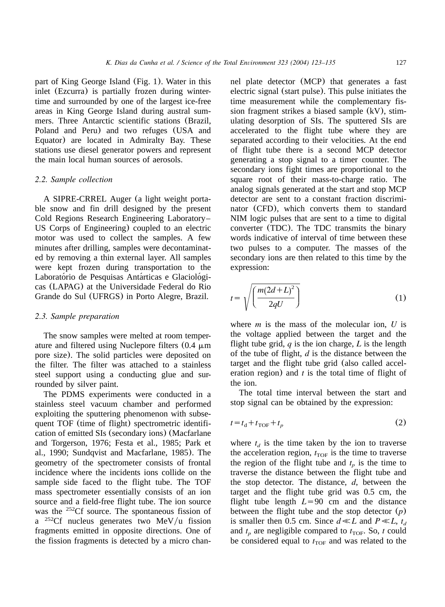part of King George Island ([Fig. 1](#page-2-0)). Water in this inlet (Ezcurra) is partially frozen during wintertime and surrounded by one of the largest ice-free areas in King George Island during austral summers. Three Antarctic scientific stations (Brazil, Poland and Peru) and two refuges (USA and Equator) are located in Admiralty Bay. These stations use diesel generator powers and represent the main local human sources of aerosols.

## *2.2. Sample collection*

A SIPRE-CRREL Auger (a light weight portable snow and fin drill designed by the present Cold Regions Research Engineering Laboratory– US Corps of Engineering) coupled to an electric motor was used to collect the samples. A few minutes after drilling, samples were decontaminated by removing a thin external layer. All samples were kept frozen during transportation to the Laboratório de Pesquisas Antárticas e Glaciológicas (LAPAG) at the Universidade Federal do Rio Grande do Sul (UFRGS) in Porto Alegre, Brazil.

## *2.3. Sample preparation*

The snow samples were melted at room temperature and filtered using Nuclepore filters  $(0.4 \mu m)$ pore size). The solid particles were deposited on the filter. The filter was attached to a stainless steel support using a conducting glue and surrounded by silver paint.

The PDMS experiments were conducted in a stainless steel vacuum chamber and performed exploiting the sputtering phenomenon with subsequent TOF (time of flight) spectrometric identification of emitted SIs (secondary ions) ([Macfarlane](#page-11-0) [and Torgerson, 1976; Festa et al., 1985; Park et](#page-11-0) [al., 1990; Sundqvist and Macfarlane, 1985](#page-11-0)). The geometry of the spectrometer consists of frontal incidence where the incidents ions collide on the sample side faced to the flight tube. The TOF mass spectrometer essentially consists of an ion source and a field-free flight tube. The ion source was the  $252 \text{C}$ f source. The spontaneous fission of a <sup>252</sup>Cf nucleus generates two MeV/u fission fragments emitted in opposite directions. One of the fission fragments is detected by a micro channel plate detector (MCP) that generates a fast electric signal (start pulse). This pulse initiates the time measurement while the complementary fission fragment strikes a biased sample (kV), stimulating desorption of SIs. The sputtered SIs are accelerated to the flight tube where they are separated according to their velocities. At the end of flight tube there is a second MCP detector generating a stop signal to a timer counter. The secondary ions fight times are proportional to the square root of their mass-to-charge ratio. The analog signals generated at the start and stop MCP detector are sent to a constant fraction discriminator (CFD), which converts them to standard NIM logic pulses that are sent to a time to digital converter (TDC). The TDC transmits the binary words indicative of interval of time between these two pulses to a computer. The masses of the secondary ions are then related to this time by the expression:

$$
t = \sqrt{\left(\frac{m(2d+L)^2}{2qU}\right)}\tag{1}
$$

where *m* is the mass of the molecular ion, *U* is the voltage applied between the target and the flight tube grid, *q* is the ion charge, *L* is the length of the tube of flight, *d* is the distance between the target and the flight tube grid (also called acceleration region) and *t* is the total time of flight of the ion.

The total time interval between the start and stop signal can be obtained by the expression:

$$
t = t_{\rm d} + t_{\rm TOF} + t_p \tag{2}
$$

where  $t_d$  is the time taken by the ion to traverse the acceleration region,  $t_{\text{TOF}}$  is the time to traverse the region of the flight tube and  $t_p$  is the time to traverse the distance between the flight tube and the stop detector. The distance, *d*, between the target and the flight tube grid was 0.5 cm, the flight tube length  $L=90$  cm and the distance between the flight tube and the stop detector (*p*) is smaller then 0.5 cm. Since  $d \ll L$  and  $P \ll L$ ,  $t_d$ and  $t_p$  are negligible compared to  $t_{\text{TOF}}$ . So, *t* could be considered equal to  $t_{\text{TOF}}$  and was related to the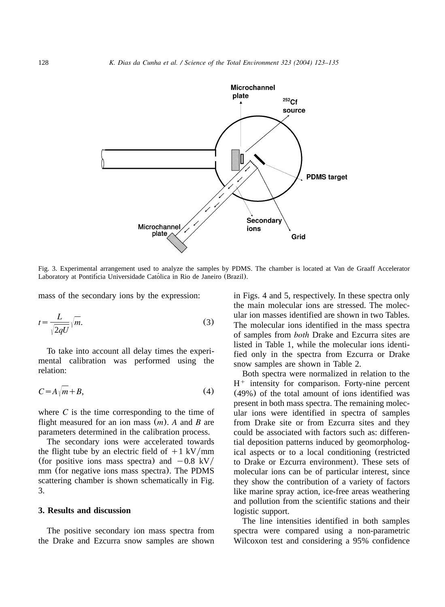

Fig. 3. Experimental arrangement used to analyze the samples by PDMS. The chamber is located at Van de Graaff Accelerator Laboratory at Pontifícia Universidade Católica in Rio de Janeiro (Brazil).

mass of the secondary ions by the expression:

$$
t = \frac{L}{\sqrt{2qU}}\sqrt{m}.\tag{3}
$$

To take into account all delay times the experimental calibration was performed using the relation:

$$
C = A\sqrt{m} + B,\tag{4}
$$

where  $C$  is the time corresponding to the time of flight measured for an ion mass (*m*). *A* and *B* are parameters determined in the calibration process.

The secondary ions were accelerated towards the flight tube by an electric field of  $+1$  kV/mm (for positive ions mass spectra) and  $-0.8$  kV/ mm (for negative ions mass spectra). The PDMS scattering chamber is shown schematically in Fig. 3.

# **3. Results and discussion**

The positive secondary ion mass spectra from the Drake and Ezcurra snow samples are shown

in [Figs. 4 and 5,](#page-6-0) respectively. In these spectra only the main molecular ions are stressed. The molecular ion masses identified are shown in two Tables. The molecular ions identified in the mass spectra of samples from *both* Drake and Ezcurra sites are listed in [Table 1,](#page-8-0) while the molecular ions identified only in the spectra from Ezcurra or Drake snow samples are shown in [Table 2.](#page-9-0)

Both spectra were normalized in relation to the  $H<sup>+</sup>$  intensity for comparison. Forty-nine percent (49%) of the total amount of ions identified was present in both mass spectra. The remaining molecular ions were identified in spectra of samples from Drake site or from Ezcurra sites and they could be associated with factors such as: differential deposition patterns induced by geomorphological aspects or to a local conditioning (restricted to Drake or Ezcurra environment). These sets of molecular ions can be of particular interest, since they show the contribution of a variety of factors like marine spray action, ice-free areas weathering and pollution from the scientific stations and their logistic support.

The line intensities identified in both samples spectra were compared using a non-parametric Wilcoxon test and considering a 95% confidence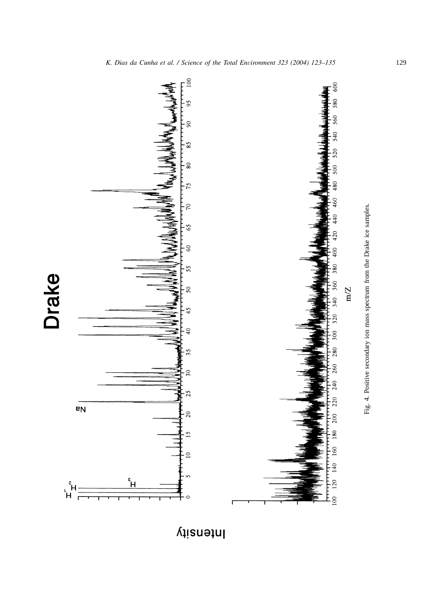<span id="page-6-0"></span>

Intensity

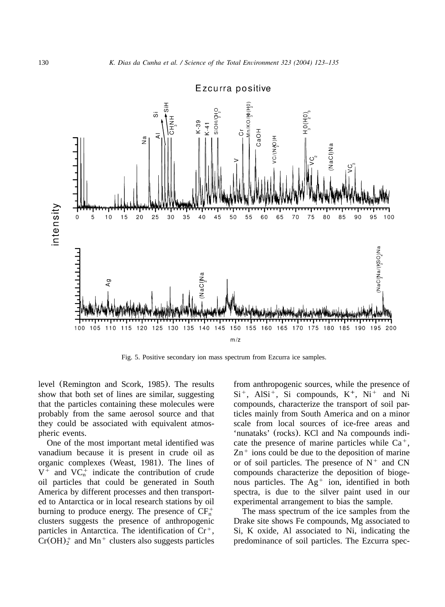

Ezcurra positive

Fig. 5. Positive secondary ion mass spectrum from Ezcurra ice samples.

level (Remington and Scork, 1985). The results show that both set of lines are similar, suggesting that the particles containing these molecules were probably from the same aerosol source and that they could be associated with equivalent atmospheric events.

One of the most important metal identified was vanadium because it is present in crude oil as organic complexes ([Weast, 1981](#page-12-0)). The lines of  $V^+$  and  $VC_n^+$  indicate the contribution of crude oil particles that could be generated in South America by different processes and then transported to Antarctica or in local research stations by oil burning to produce energy. The presence of  $CF_n^+$ clusters suggests the presence of anthropogenic particles in Antarctica. The identification of  $Cr^+$ ,  $Cr(OH)_2^+$  and Mn<sup>+</sup> clusters also suggests particles

from anthropogenic sources, while the presence of  $Si<sup>+</sup>$ , Al $Si<sup>+</sup>$ , Si compounds,  $K<sup>+</sup>$ , Ni<sup>+</sup> and Ni compounds, characterize the transport of soil particles mainly from South America and on a minor scale from local sources of ice-free areas and 'nunataks' (rocks). KCl and Na compounds indicate the presence of marine particles while  $Ca<sup>+</sup>$ ,  $Zn^+$  ions could be due to the deposition of marine or of soil particles. The presence of  $N^+$  and CN compounds characterize the deposition of biogenous particles. The  $Ag<sup>+</sup>$  ion, identified in both spectra, is due to the silver paint used in our experimental arrangement to bias the sample.

The mass spectrum of the ice samples from the Drake site shows Fe compounds, Mg associated to Si, K oxide, Al associated to Ni, indicating the predominance of soil particles. The Ezcurra spec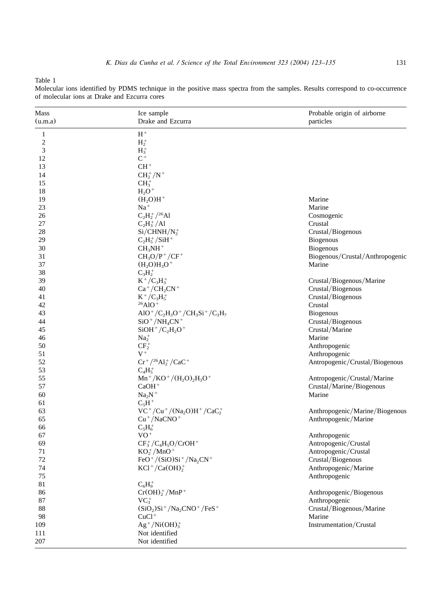<span id="page-8-0"></span>Table 1

Molecular ions identified by PDMS technique in the positive mass spectra from the samples. Results correspond to co-occurrence of molecular ions at Drake and Ezcurra cores

| Mass           | Ice sample                                                                                                                     | Probable origin of airborne     |
|----------------|--------------------------------------------------------------------------------------------------------------------------------|---------------------------------|
| (u.m.a)        | Drake and Ezcurra                                                                                                              | particles                       |
| 1              | $H^+$                                                                                                                          |                                 |
| $\overline{c}$ | $H_2^+$                                                                                                                        |                                 |
| 3              | $H_3^+$                                                                                                                        |                                 |
| 12             | $\mathrm{C}^+$                                                                                                                 |                                 |
| 13             | $CH+$                                                                                                                          |                                 |
| 14             | $CH_2^+/N^+$                                                                                                                   |                                 |
| 15             | $CH3+$                                                                                                                         |                                 |
| 18             | $H_2O^+$                                                                                                                       |                                 |
| 19             | $(H, O)H^+$                                                                                                                    | Marine                          |
| 23             | $\rm Na^+$                                                                                                                     | Marine                          |
| 26             | $C_2H_2^+/^{26}Al$                                                                                                             | Cosmogenic                      |
| 27             | $C_2H_3^+/Al$                                                                                                                  | Crustal                         |
| 28             |                                                                                                                                |                                 |
|                | $Si/CHNH/N2+$                                                                                                                  | Crustal/Biogenous               |
| 29             | $C_2H_5^+/SiH^+$                                                                                                               | <b>Biogenous</b>                |
| 30             | $CH3NH+$                                                                                                                       | <b>Biogenous</b>                |
| 31             | $CH_3O/P^+/CF^+$                                                                                                               | Biogenous/Crustal/Anthropogenic |
| 37             | $(H_2O)H_3O^+$                                                                                                                 | Marine                          |
| 38             | $C_3H_2^+$                                                                                                                     |                                 |
| 39             | $K^+/C_3H_3^+$                                                                                                                 | Crustal/Biogenous/Marine        |
| 40             | $Ca^+/CH_2CN^+$                                                                                                                | Crustal/Biogenous               |
| 41             | $K^+/C_3H_5^+$                                                                                                                 | Crustal/Biogenous               |
| 42             | $^{26}$ AlO <sup>+</sup>                                                                                                       | Crustal                         |
| 43             | AlO <sup>+</sup> /C <sub>2</sub> H <sub>3</sub> O <sup>+</sup> /CH <sub>3</sub> Si <sup>+</sup> /C <sub>3</sub> H <sub>7</sub> | <b>Biogenous</b>                |
| 44             | $SiO^+/NH_4CN^+$                                                                                                               | Crustal/Biogenous               |
| 45             | $SiOH^{+}/C_{2}H_{2}O^{+}$                                                                                                     | Crustal/Marine                  |
| 46             | $Na2+$                                                                                                                         | Marine                          |
| 50             | $CF_2^+$                                                                                                                       | Anthropogenic                   |
| 51             | $V^+$                                                                                                                          | Anthropogenic                   |
| 52             | $Cr^+/^{26}Al_2^+/CaC^+$                                                                                                       | Antropogenic/Crustal/Biogenous  |
| 53             | $C_4H_5^+$                                                                                                                     |                                 |
| 55             | $Mn^+/KO^+/(H_2O)_2H_3O^+$                                                                                                     | Antropogenic/Crustal/Marine     |
| 57             | $CaOH+$                                                                                                                        | Crustal/Marine/Biogenous        |
| 60             | $Na2N+$                                                                                                                        | Marine                          |
| 61             | $C_5H^+$                                                                                                                       |                                 |
| 63             | $VC^{+}/Cu^{+}/(Na_{2}O)H^{+}/CaC_{2}^{+}$                                                                                     | Anthropogenic/Marine/Biogenous  |
| 65             | $Cu$ <sup>+</sup> /NaCNO <sup>+</sup>                                                                                          | Anthropogenic/Marine            |
|                |                                                                                                                                |                                 |
| 66             | $C_5H_6^+$<br>$VO^+$                                                                                                           |                                 |
| 67             |                                                                                                                                | Anthropogenic                   |
| 69             | $CF_3^+/C_4H_5O/CrOH^+$                                                                                                        | Antropogenic/Crustal            |
| 71             | $KO_2^+$ /MnO <sup>+</sup>                                                                                                     | Antropogenic/Crustal            |
| 72             | $FeO^+/(SiO)Si^+/Na_2CN^+$                                                                                                     | Crustal/Biogenous               |
| 74             | $KCl^+/Ca(OH)_2^+$                                                                                                             | Anthropogenic/Marine            |
| 75             |                                                                                                                                | Anthropogenic                   |
| 81             | $C_6H_9^+$                                                                                                                     |                                 |
| 86             | $Cr(OH)2+/MnP+$                                                                                                                | Anthropogenic/Biogenous         |
| $87\,$         | $VC^{\dagger}_{3}$                                                                                                             | Anthropogenic                   |
| 88             | $(SiO2)Si+/Na2CNO+/FeS+$                                                                                                       | Crustal/Biogenous/Marine        |
| 98             | $CuCl+$                                                                                                                        | Marine                          |
| 109            | $Ag^+/Ni(OH)_3^+$                                                                                                              | Instrumentation/Crustal         |
| 111            | Not identified                                                                                                                 |                                 |
| 207            | Not identified                                                                                                                 |                                 |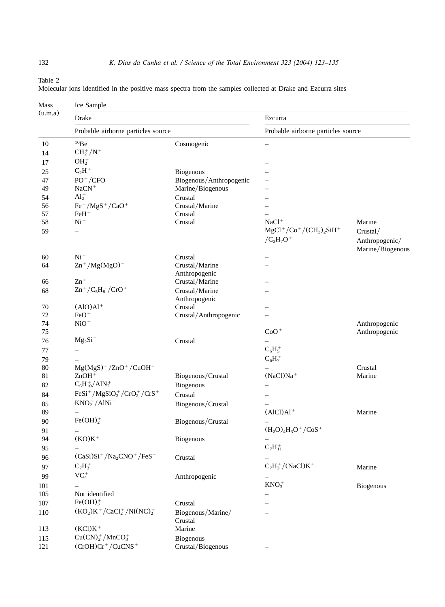<span id="page-9-0"></span>Table 2

107 Fe(OH)<sub>3</sub><sup>+</sup>

113  $(KCl)K^+$ 

115  $Cu(CN)_2^+ / MnCO_3^+$ <br>121  $(CrOH)Cr^+ / CuCN$ 

| Mass    | Ice Sample                                                  |                         |                                                                           |                                    |  |  |
|---------|-------------------------------------------------------------|-------------------------|---------------------------------------------------------------------------|------------------------------------|--|--|
| (u.m.a) | Drake                                                       |                         | Ezcurra<br>Probable airborne particles source<br>$\overline{\phantom{m}}$ |                                    |  |  |
|         | Probable airborne particles source                          |                         |                                                                           |                                    |  |  |
| 10      | $^{10}$ Be                                                  | Cosmogenic              |                                                                           |                                    |  |  |
| 14      | $CH_2^+/N^+$                                                |                         |                                                                           |                                    |  |  |
| 17      | $OH+$                                                       |                         |                                                                           |                                    |  |  |
| 25      | $C_2H^+$                                                    | <b>Biogenous</b>        |                                                                           |                                    |  |  |
| 47      | $PO^+/CFO$                                                  | Biogenous/Anthropogenic |                                                                           |                                    |  |  |
| 49      | $NaCN+$                                                     | Marine/Biogenous        |                                                                           |                                    |  |  |
| 54      | $Al2+$                                                      | Crustal                 |                                                                           |                                    |  |  |
| 56      | $Fe^+/MgS^+/CaO^+$                                          | Crustal/Marine          |                                                                           |                                    |  |  |
| 57      | $FeH+$                                                      | Crustal                 |                                                                           |                                    |  |  |
| 58      | $Ni+$                                                       | Crustal                 | $NaCl+$                                                                   | Marine                             |  |  |
| 59      |                                                             |                         | $MgCl^{+}/Co^{+}/(CH_{3})_{2}SiH^{+}$                                     | Crustal/                           |  |  |
|         |                                                             |                         | $/C_{3}H_{7}O^{+}$                                                        | Anthropogenic/<br>Marine/Biogenous |  |  |
| 60      | $Ni+$                                                       | Crustal                 | ÷                                                                         |                                    |  |  |
| 64      | $\text{Zn}^+/\text{Mg}(\text{MgO})^+$                       | Crustal/Marine          |                                                                           |                                    |  |  |
|         |                                                             | Anthropogenic           |                                                                           |                                    |  |  |
| 66      | $Zn$ <sup>+</sup>                                           | Crustal/Marine          |                                                                           |                                    |  |  |
| 68      | $\text{Zn}^+/\text{C}_5\text{H}_8^+/\text{CrO}^+$           | Crustal/Marine          |                                                                           |                                    |  |  |
|         |                                                             | Anthropogenic           |                                                                           |                                    |  |  |
| 70      | $(AIO)Al+$                                                  | Crustal                 |                                                                           |                                    |  |  |
| 72      | $FeO+$                                                      | Crustal/Anthropogenic   |                                                                           |                                    |  |  |
| 74      | $NiO+$                                                      |                         |                                                                           | Anthropogenic                      |  |  |
| 75      |                                                             |                         | $CoO+$                                                                    | Anthropogenic                      |  |  |
| 76      | $Mg_2Si+$                                                   | Crustal                 |                                                                           |                                    |  |  |
| 77      | $\equiv$                                                    |                         | $C_6H_5^+$                                                                |                                    |  |  |
| 79      |                                                             |                         | $C_6H_7^+$                                                                |                                    |  |  |
| 80      | $Mg(MgS)$ <sup>+</sup> /ZnO <sup>+</sup> /CuOH <sup>+</sup> |                         |                                                                           | Crustal                            |  |  |
| 81      | $ZnOH+$                                                     | Biogenous/Crustal       | $(NaCl)Na+$                                                               | Marine                             |  |  |
| 82      | $C_6H_{10}^+/AlN_2^+$                                       | Biogenous               | $\overline{\phantom{0}}$                                                  |                                    |  |  |
| 84      | $FeSi^+/MgSiO2+/CrO2+/CrS+$                                 | Crustal                 | $\overline{\phantom{0}}$                                                  |                                    |  |  |
| 85      | $KNO2+/AlNi+$                                               | Biogenous/Crustal       |                                                                           |                                    |  |  |
| 89      |                                                             |                         | $(AICI)Al+$                                                               | Marine                             |  |  |
| 90      | $Fe(OH)2+$                                                  | Biogenous/Crustal       |                                                                           |                                    |  |  |
| 91      |                                                             |                         | $(H_2O)_4H_3O^+/CoS^+$                                                    |                                    |  |  |
| 94      | $(KO)K^+$                                                   | <b>Biogenous</b>        |                                                                           |                                    |  |  |
| 95      |                                                             |                         | $C_7H_{11}^+$                                                             |                                    |  |  |
|         | $(CaSi)Si+/Na2CNO+/FeS+$                                    |                         |                                                                           |                                    |  |  |
| 96      |                                                             | Crustal                 |                                                                           |                                    |  |  |
| 97      | $C_7H_3^+$                                                  |                         | $C_7H_3^+/(NaCl)K^+$                                                      | Marine                             |  |  |
| 99      | VC <sub>4</sub>                                             | Anthropogenic           |                                                                           |                                    |  |  |
| 101     |                                                             |                         | $KNO3+$                                                                   | <b>Biogenous</b>                   |  |  |
| 105     | Not identified                                              |                         |                                                                           |                                    |  |  |

<sup>3</sup> Crustal –

110  $(KO_2)K^+/CaCl_2^+/Ni(NC)_2^+$  Biogenous/Marine/ –

Crustal<br>Marine

 $(CrOH)Cr^+/CuCNS^+$  Crustal/Biogenous –

Biogenous<br>Crustal/Biogenous

| Molecular ions identified in the positive mass spectra from the samples collected at Drake and Ezcurra sites |  |  |  |  |  |
|--------------------------------------------------------------------------------------------------------------|--|--|--|--|--|
|--------------------------------------------------------------------------------------------------------------|--|--|--|--|--|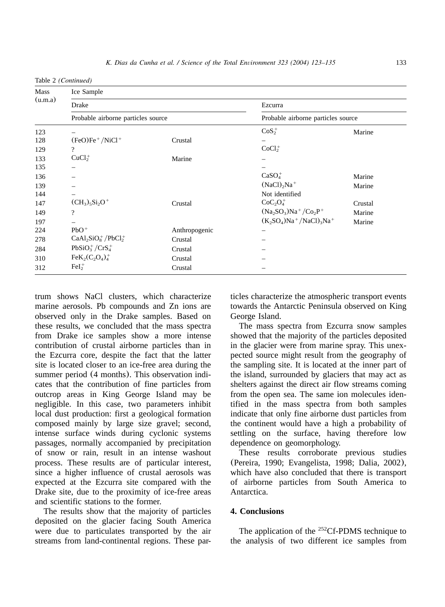Table 2 *(Continued)*

| Mass<br>(u.m.a)<br>123 | Ice Sample                         |               |                                                     |         |  |
|------------------------|------------------------------------|---------------|-----------------------------------------------------|---------|--|
|                        | Drake                              |               | Ezcurra<br>Probable airborne particles source       |         |  |
|                        | Probable airborne particles source |               |                                                     |         |  |
|                        |                                    |               | $CoS2+$                                             | Marine  |  |
| 128                    | $(FeO)Fe^+ / NiCl^+$               | Crustal       |                                                     |         |  |
| 129                    | $\overline{\mathcal{L}}$           |               | CoCl <sub>2</sub>                                   |         |  |
| 133                    | $CuCl2+$                           | Marine        |                                                     |         |  |
| 135                    |                                    |               |                                                     |         |  |
| 136                    |                                    |               | $CaSO4+$                                            | Marine  |  |
| 139                    |                                    |               | $(NaCl)_{2}Na^{+}$                                  | Marine  |  |
| 144                    |                                    |               | Not identified                                      |         |  |
| 147                    | $(CH_3)_5Si_2O^+$                  | Crustal       | CoC <sub>2</sub> O <sub>4</sub>                     | Crustal |  |
| 149                    | $\overline{\cdot}$                 |               | $(Na_2SO_3)Na^+/Co_2P^+$                            | Marine  |  |
| 197                    |                                    |               | $(K_2SO_4)Na^+$ /NaCl) <sub>3</sub> Na <sup>+</sup> | Marine  |  |
| 224                    | $PbO+$                             | Anthropogenic |                                                     |         |  |
| 278                    | $CaAl2SiO8+/PbCl2+$                | Crustal       |                                                     |         |  |
| 284                    | $PbSiO3+/CrS4+$                    | Crustal       |                                                     |         |  |
| 310                    | $FeK2(C2O4)+4$                     | Crustal       |                                                     |         |  |
| 312                    | $FeI2+$                            | Crustal       |                                                     |         |  |

trum shows NaCl clusters, which characterize marine aerosols. Pb compounds and Zn ions are observed only in the Drake samples. Based on these results, we concluded that the mass spectra from Drake ice samples show a more intense contribution of crustal airborne particles than in the Ezcurra core, despite the fact that the latter site is located closer to an ice-free area during the summer period (4 months). This observation indicates that the contribution of fine particles from outcrop areas in King George Island may be negligible. In this case, two parameters inhibit local dust production: first a geological formation composed mainly by large size gravel; second, intense surface winds during cyclonic systems passages, normally accompanied by precipitation of snow or rain, result in an intense washout process. These results are of particular interest, since a higher influence of crustal aerosols was expected at the Ezcurra site compared with the Drake site, due to the proximity of ice-free areas and scientific stations to the former.

The results show that the majority of particles deposited on the glacier facing South America were due to particulates transported by the air streams from land-continental regions. These particles characterize the atmospheric transport events towards the Antarctic Peninsula observed on King George Island.

The mass spectra from Ezcurra snow samples showed that the majority of the particles deposited in the glacier were from marine spray. This unexpected source might result from the geography of the sampling site. It is located at the inner part of the island, surrounded by glaciers that may act as shelters against the direct air flow streams coming from the open sea. The same ion molecules identified in the mass spectra from both samples indicate that only fine airborne dust particles from the continent would have a high a probability of settling on the surface, having therefore low dependence on geomorphology.

These results corroborate previous studies ([Pereira, 1990; Evangelista, 1998; Dalia, 2002](#page-11-0)), which have also concluded that there is transport of airborne particles from South America to Antarctica.

# **4. Conclusions**

The application of the <sup>252</sup>Cf-PDMS technique to the analysis of two different ice samples from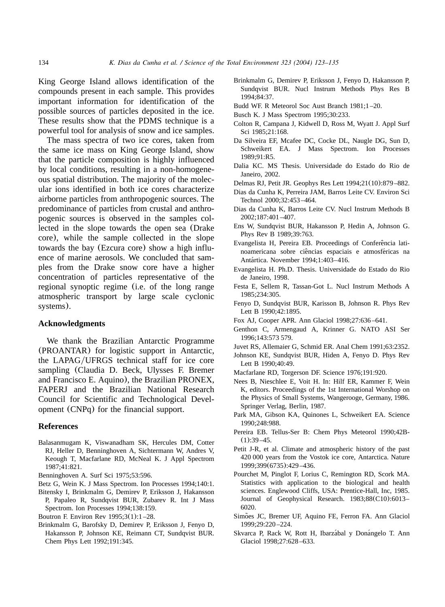<span id="page-11-0"></span>King George Island allows identification of the compounds present in each sample. This provides important information for identification of the possible sources of particles deposited in the ice. These results show that the PDMS technique is a powerful tool for analysis of snow and ice samples.

The mass spectra of two ice cores, taken from the same ice mass on King George Island, show that the particle composition is highly influenced by local conditions, resulting in a non-homogeneous spatial distribution. The majority of the molecular ions identified in both ice cores characterize airborne particles from anthropogenic sources. The predominance of particles from crustal and anthropogenic sources is observed in the samples collected in the slope towards the open sea (Drake core), while the sample collected in the slope towards the bay (Ezcura core) show a high influence of marine aerosols. We concluded that samples from the Drake snow core have a higher concentration of particles representative of the regional synoptic regime (i.e. of the long range atmospheric transport by large scale cyclonic systems).

## **Acknowledgments**

We thank the Brazilian Antarctic Programme (PROANTAR) for logistic support in Antarctic, the LAPAG/UFRGS technical staff for ice core sampling (Claudia D. Beck, Ulysses F. Bremer and Francisco E. Aquino), the Brazilian PRONEX, FAPERJ and the Brazilian National Research Council for Scientific and Technological Development (CNPq) for the financial support.

#### **References**

- Balasanmugam K, Viswanadham SK, Hercules DM, Cotter RJ, Heller D, Benninghoven A, Sichtermann W, Andres V, Keough T, Macfarlane RD, McNeal K. J Appl Spectrom 1987;41:821.
- Benninghoven A. Surf Sci 1975;53:596.
- Betz G, Wein K. J Mass Spectrom. Ion Processes 1994;140:1.
- Bitensky I, Brinkmalm G, Demirev P, Eriksson J, Hakansson P, Papaleo R, Sundqvist BUR, Zubarev R. Int J Mass Spectrom. Ion Processes 1994;138:159.
- Boutron F. Environ Rev 1995;3(1):1 –28.
- Brinkmalm G, Barofsky D, Demirev P, Eriksson J, Fenyo D, Hakansson P, Johnson KE, Reimann CT, Sundqvist BUR. Chem Phys Lett 1992;191:345.
- Brinkmalm G, Demirev P, Eriksson J, Fenyo D, Hakansson P, Sundqvist BUR. Nucl Instrum Methods Phys Res B 1994;84:37.
- Budd WF. R Meteorol Soc Aust Branch 1981;1 –20.
- Busch K. J Mass Spectrom 1995;30:233.
- Colton R, Campana J, Kidwell D, Ross M, Wyatt J. Appl Surf Sci 1985;21:168.
- Da Silveira EF, Mcafee DC, Cocke DL, Naugle DG, Sun D, Schweikert EA. J Mass Spectrom. Ion Processes 1989;91:R5.
- Dalia KC. MS Thesis. Universidade do Estado do Rio de Janeiro, 2002.
- Delmas RJ, Petit JR. Geophys Res Lett 1994;21(10):879 –882.
- Dias da Cunha K, Perreira JAM, Barros Leite CV. Environ Sci Technol 2000;32:453 –464.
- Dias da Cunha K, Barros Leite CV. Nucl Instrum Methods B 2002;187:401 –407.
- Ens W, Sundqvist BUR, Hakansson P, Hedin A, Johnson G. Phys Rev B1989;39:763.
- Evangelista H, Pereira EB. Proceedings of Conferência latinoamericana sobre ciências espaciais e atmosféricas na Antartica. November 1994;1:403–416. ´
- Evangelista H. Ph.D. Thesis. Universidade do Estado do Rio de Janeiro, 1998.
- Festa E, Sellem R, Tassan-Got L. Nucl Instrum Methods A 1985;234:305.
- Fenyo D, Sundqvist BUR, Karisson B, Johnson R. Phys Rev Lett B1990;42:1895.
- Fox AJ, Cooper APR. Ann Glaciol 1998;27:636 –641.
- Genthon C, Armengaud A, Krinner G. NATO ASI Ser 1996;143:573 579.
- Juvet RS, Allemaier G, Schmid ER. Anal Chem 1991;63:2352.
- Johnson KE, Sundqvist BUR, Hiden A, Fenyo D. Phys Rev Lett B 1990;40:49.
- Macfarlane RD, Torgerson DF. Science 1976;191:920.
- Nees B, Nieschlee E, Voit H. In: Hilf ER, Kammer F, Wein K, editors. Proceedings of the 1st International Worshop on the Physics of Small Systems, Wangerooge, Germany, 1986. Springer Verlag, Berlin, 1987.
- Park MA, Gibson KA, Quinones L, Schweikert EA. Science 1990;248:988.
- Pereira EB. Tellus-Ser B: Chem Phys Meteorol 1990;42B-  $(1):39 - 45.$
- Petit J-R, et al. Climate and atmospheric history of the past 420 000 years from the Vostok ice core, Antarctica. Nature 1999;399(6735):429 –436.
- Pourchet M, Pinglot F, Lorius C, Remington RD, Scork MA. Statistics with application to the biological and health sciences. Englewood Cliffs, USA: Prentice-Hall, Inc, 1985. Journal of Geophysical Research. 1983;88(C10):6013– 6020.
- Simões JC, Bremer UF, Aquino FE, Ferron FA. Ann Glaciol 1999;29:220 –224.
- Skvarca P, Rack W, Rott H, Ibarzábal y Donángelo T. Ann Glaciol 1998;27:628 –633.